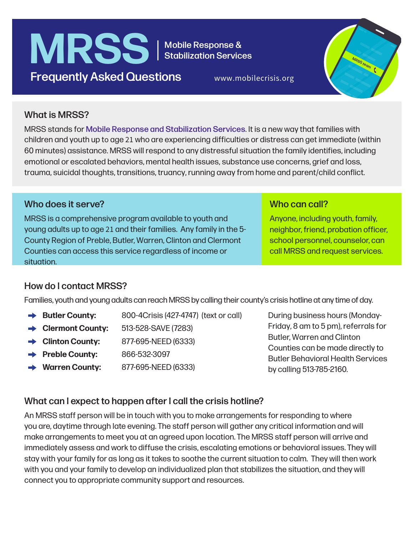# MRSS | Mobile Response & **Frequently Asked Questions** www.mobilecrisis.org

Stabilization Services



## What is MRSS?

MRSS stands for Mobile Response and Stabilization Services. It is a new way that families with children and youth up to age 21 who are experiencing difficulties or distress can get immediate (within 60 minutes) assistance. MRSS will respond to any distressful situation the family identifies, including emotional or escalated behaviors, mental health issues, substance use concerns, grief and loss, trauma, suicidal thoughts, transitions, truancy, running away from home and parent/child conflict.

#### Who does it serve?

MRSS is a comprehensive program available to youth and young adults up to age 21 and their families. Any family in the 5- County Region of Preble, Butler, Warren, Clinton and Clermont Counties can access this service regardless of income or situation.

#### Who can call?

Anyone, including youth, family, neighbor, friend, probation officer, school personnel, counselor, can call MRSS and request services.

## How do I contact MRSS?

Families, youth and young adults can reach MRSS by calling their county's crisis hotline at any time of day.

- **→ Butler County:** 800-4Crisis (427-4747) (text or call)
- **Clermont County:** 513-528-SAVE (7283)
- **Clinton County:** 877-695-NEED (6333)
- **Preble County:** 866-532-3097
- **Warren County:** 877-695-NEED (6333)

During business hours (Monday-Friday, 8 am to 5 pm), referrals for Butler, Warren and Clinton Counties can be made directly to Butler Behavioral Health Services by calling 513-785-2160.

## What can I expect to happen after I call the crisis hotline?

An MRSS staff person will be in touch with you to make arrangements for responding to where you are, daytime through late evening. The staff person will gather any critical information and will make arrangements to meet you at an agreed upon location. The MRSS staff person will arrive and immediately assess and work to diffuse the crisis, escalating emotions or behavioral issues. They will stay with your family for as long as it takes to soothe the current situation to calm. They will then work with you and your family to develop an individualized plan that stabilizes the situation, and they will connect you to appropriate community support and resources.